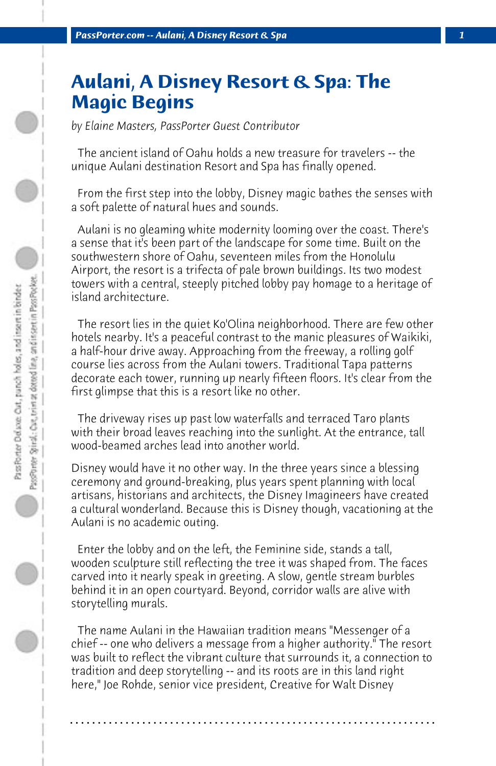## **Aulani, A Disney Resort & Spa: The Magic Begins**

*by Elaine Masters, PassPorter Guest Contributor*

 The ancient island of Oahu holds a new treasure for travelers -- the unique Aulani destination Resort and Spa has finally opened.

 From the first step into the lobby, Disney magic bathes the senses with a soft palette of natural hues and sounds.

 Aulani is no gleaming white modernity looming over the coast. There's a sense that it's been part of the landscape for some time. Built on the southwestern shore of Oahu, seventeen miles from the Honolulu Airport, the resort is a trifecta of pale brown buildings. Its two modest towers with a central, steeply pitched lobby pay homage to a heritage of island architecture.

 The resort lies in the quiet Ko'Olina neighborhood. There are few other hotels nearby. It's a peaceful contrast to the manic pleasures of Waikiki, a half-hour drive away. Approaching from the freeway, a rolling golf course lies across from the Aulani towers. Traditional Tapa patterns decorate each tower, running up nearly fifteen floors. It's clear from the first glimpse that this is a resort like no other.

 The driveway rises up past low waterfalls and terraced Taro plants with their broad leaves reaching into the sunlight. At the entrance, tall wood-beamed arches lead into another world.

Disney would have it no other way. In the three years since a blessing ceremony and ground-breaking, plus years spent planning with local artisans, historians and architects, the Disney Imagineers have created a cultural wonderland. Because this is Disney though, vacationing at the Aulani is no academic outing.

 Enter the lobby and on the left, the Feminine side, stands a tall, wooden sculpture still reflecting the tree it was shaped from. The faces carved into it nearly speak in greeting. A slow, gentle stream burbles behind it in an open courtyard. Beyond, corridor walls are alive with storytelling murals.

 The name Aulani in the Hawaiian tradition means "Messenger of a chief -- one who delivers a message from a higher authority." The resort was built to reflect the vibrant culture that surrounds it, a connection to tradition and deep storytelling -- and its roots are in this land right here," Joe Rohde, senior vice president, Creative for Walt Disney

**. . . . . . . . . . . . . . . . . . . . . . . . . . . . . . . . . . . . . . . . . . . . . . . . . . . . . . . . . . . . . . . . . .**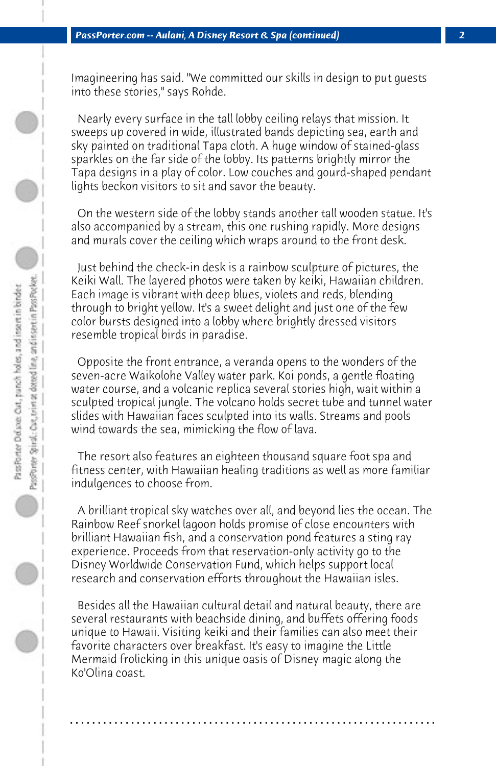Imagineering has said. "We committed our skills in design to put guests into these stories," says Rohde.

 Nearly every surface in the tall lobby ceiling relays that mission. It sweeps up covered in wide, illustrated bands depicting sea, earth and sky painted on traditional Tapa cloth. A huge window of stained-glass sparkles on the far side of the lobby. Its patterns brightly mirror the Tapa designs in a play of color. Low couches and gourd-shaped pendant lights beckon visitors to sit and savor the beauty.

 On the western side of the lobby stands another tall wooden statue. It's also accompanied by a stream, this one rushing rapidly. More designs and murals cover the ceiling which wraps around to the front desk.

 Just behind the check-in desk is a rainbow sculpture of pictures, the Keiki Wall. The layered photos were taken by keiki, Hawaiian children. Each image is vibrant with deep blues, violets and reds, blending through to bright yellow. It's a sweet delight and just one of the few color bursts designed into a lobby where brightly dressed visitors resemble tropical birds in paradise.

 Opposite the front entrance, a veranda opens to the wonders of the seven-acre Waikolohe Valley water park. Koi ponds, a gentle floating water course, and a volcanic replica several stories high, wait within a sculpted tropical jungle. The volcano holds secret tube and tunnel water slides with Hawaiian faces sculpted into its walls. Streams and pools wind towards the sea, mimicking the flow of lava.

 The resort also features an eighteen thousand square foot spa and fitness center, with Hawaiian healing traditions as well as more familiar indulgences to choose from.

 A brilliant tropical sky watches over all, and beyond lies the ocean. The Rainbow Reef snorkel lagoon holds promise of close encounters with brilliant Hawaiian fish, and a conservation pond features a sting ray experience. Proceeds from that reservation-only activity go to the Disney Worldwide Conservation Fund, which helps support local research and conservation efforts throughout the Hawaiian isles.

 Besides all the Hawaiian cultural detail and natural beauty, there are several restaurants with beachside dining, and buffets offering foods unique to Hawaii. Visiting keiki and their families can also meet their favorite characters over breakfast. It's easy to imagine the Little Mermaid frolicking in this unique oasis of Disney magic along the Ko'Olina coast.

**. . . . . . . . . . . . . . . . . . . . . . . . . . . . . . . . . . . . . . . . . . . . . . . . . . . . . . . . . . . . . . . . . .**